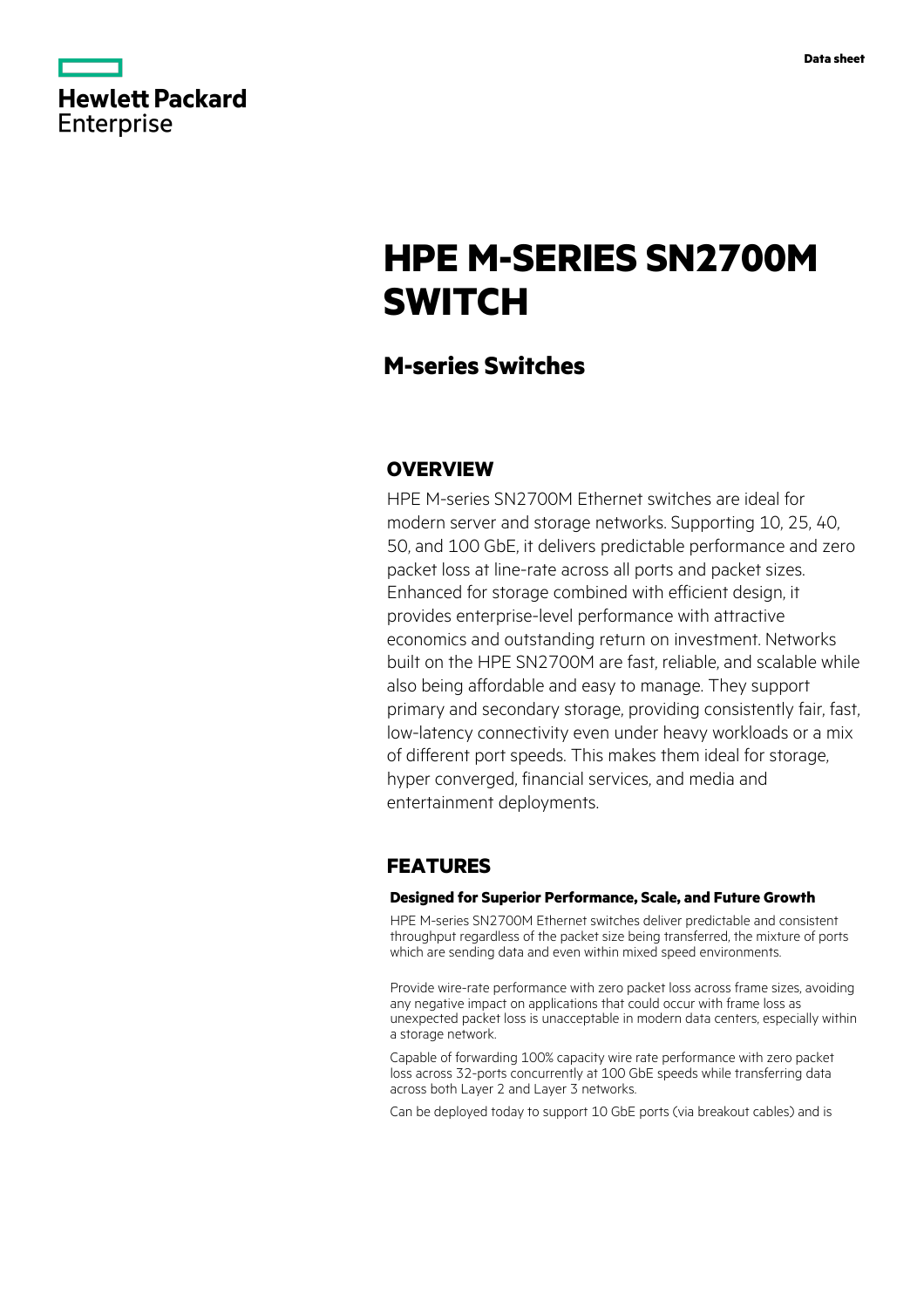

|            | <b>Hewlett Packard</b> |
|------------|------------------------|
| Enterprise |                        |

# **HPE M-SERIES SN2700M SWITCH**

# **M-series Switches**

# **OVERVIEW**

HPE M-series SN2700M Ethernet switches are ideal for modern server and storage networks. Supporting 10, 25, 40, 50, and 100 GbE, it delivers predictable performance and zero packet loss at line-rate across all ports and packet sizes. Enhanced for storage combined with efficient design, it provides enterprise-level performance with attractive economics and outstanding return on investment. Networks built on the HPE SN2700M are fast, reliable, and scalable while also being affordable and easy to manage. They support primary and secondary storage, providing consistently fair, fast, low-latency connectivity even under heavy workloads or a mix of different port speeds. This makes them ideal for storage, hyper converged, financial services, and media and entertainment deployments.

# **FEATURES**

### **Designed for Superior Performance, Scale, and Future Growth**

HPE M-series SN2700M Ethernet switches deliver predictable and consistent throughput regardless of the packet size being transferred, the mixture of ports which are sending data and even within mixed speed environments.

Provide wire-rate performance with zero packet loss across frame sizes, avoiding any negative impact on applications that could occur with frame loss as unexpected packet loss is unacceptable in modern data centers, especially within a storage network.

Capable of forwarding 100% capacity wire rate performance with zero packet loss across 32-ports concurrently at 100 GbE speeds while transferring data across both Layer 2 and Layer 3 networks.

Can be deployed today to support 10 GbE ports (via breakout cables) and is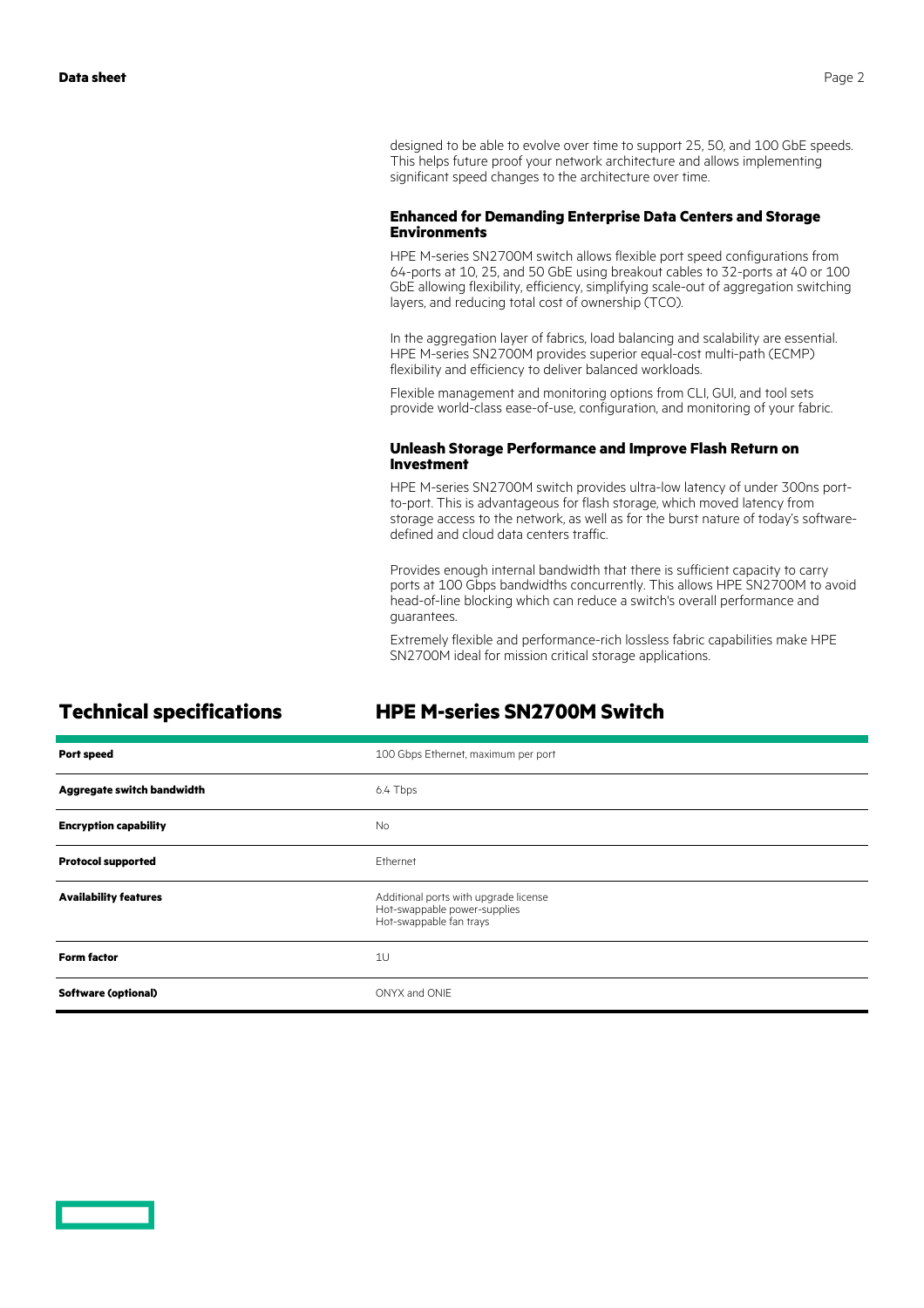### **Enhanced for Demanding Enterprise Data Centers and Storage Environments**

HPE M-series SN2700M switch allows flexible port speed configurations from 64-ports at 10, 25, and 50 GbE using breakout cables to 32-ports at 40 or 100 GbE allowing flexibility, efficiency, simplifying scale-out of aggregation switching layers, and reducing total cost of ownership (TCO).

In the aggregation layer of fabrics, load balancing and scalability are essential. HPE M-series SN2700M provides superior equal-cost multi-path (ECMP) flexibility and efficiency to deliver balanced workloads.

Flexible management and monitoring options from CLI, GUI, and tool sets provide world-class ease-of-use, configuration, and monitoring of your fabric.

### **Unleash Storage Performance and Improve Flash Return on Investment**

HPE M-series SN2700M switch provides ultra-low latency of under 300ns portto-port. This is advantageous for flash storage, which moved latency from storage access to the network, as well as for the burst nature of today's softwaredefined and cloud data centers traffic.

Provides enough internal bandwidth that there is sufficient capacity to carry ports at 100 Gbps bandwidths concurrently. This allows HPE SN2700M to avoid head-of-line blocking which can reduce a switch's overall performance and guarantees.

Extremely flexible and performance-rich lossless fabric capabilities make HPE SN2700M ideal for mission critical storage applications.

### **Technical specifications HPE M-series SN2700M Switch**

| <b>Port speed</b>            | 100 Gbps Ethernet, maximum per port                                                              |
|------------------------------|--------------------------------------------------------------------------------------------------|
| Aggregate switch bandwidth   | 6.4 Tbps                                                                                         |
| <b>Encryption capability</b> | <b>No</b>                                                                                        |
| <b>Protocol supported</b>    | Ethernet                                                                                         |
| <b>Availability features</b> | Additional ports with upgrade license<br>Hot-swappable power-supplies<br>Hot-swappable fan trays |
| <b>Form factor</b>           | 1U                                                                                               |
| <b>Software (optional)</b>   | ONYX and ONIE                                                                                    |